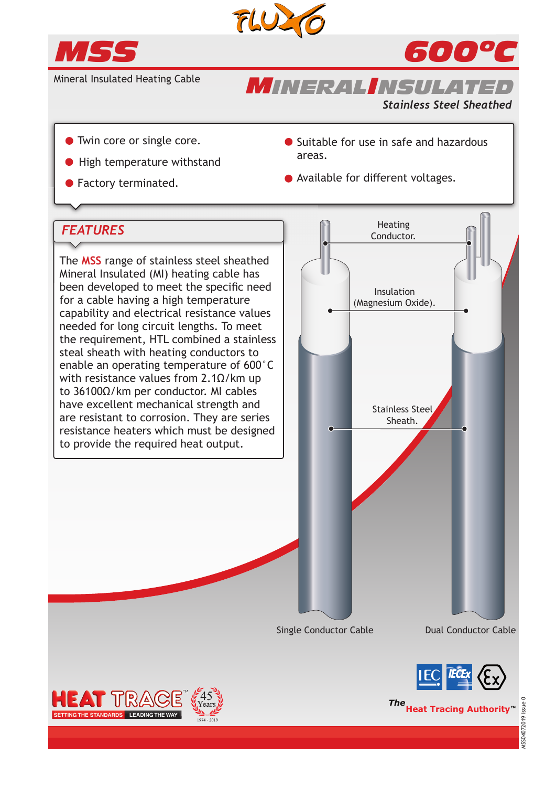



*600ºC*

*Stainless Steel Sheathed*

Mineral Insulated Heating Cable

- 
- **High temperature withstand**
- 
- Twin core or single core. <br>● Suitable for use in safe and hazardous areas.
- Factory terminated. The second of Available for different voltages.

*MINERALINSULATED*

# *FEATURES*

The **MSS** range of stainless steel sheathed Mineral Insulated (MI) heating cable has been developed to meet the specific need for a cable having a high temperature capability and electrical resistance values needed for long circuit lengths. To meet the requirement, HTL combined a stainless steal sheath with heating conductors to enable an operating temperature of 600°C with resistance values from 2.1 $Ω/k$ m up to 36100Ω/km per conductor. MI cables have excellent mechanical strength and are resistant to corrosion. They are series resistance heaters which must be designed to provide the required heat output.









**The**<br> **Heat Tracing Authority**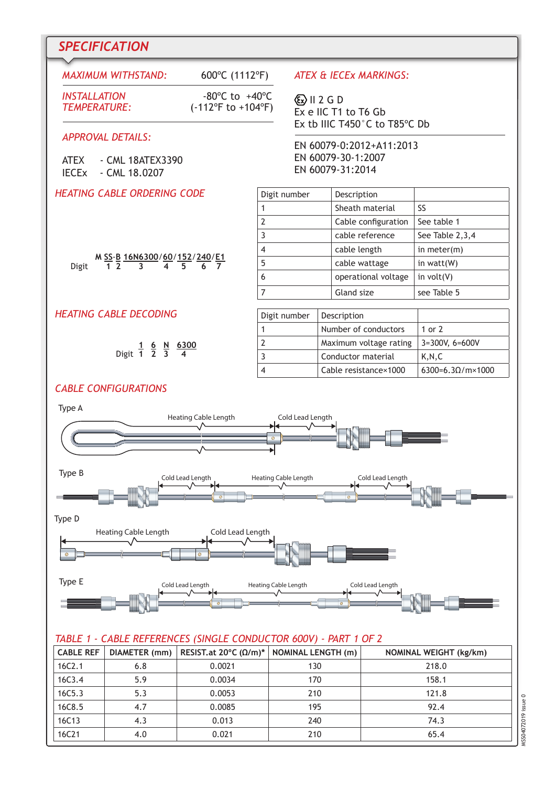# *SPECIFICATION*

# *MAXIMUM WITHSTAND:* 600ºC (1112ºF)

*INSTALLATION* -80ºC to +40ºC (-112°F to +104°F)

#### *APPROVAL DETAILS:*

| <b>ATEX</b>             | - CML 18ATEX3390 |
|-------------------------|------------------|
| <b>IECE<sub>x</sub></b> | - CML 18.0207    |

#### *HEATING CABLE ORDERING CODE*

*ATEX & IECEx MARKINGS:* 

 $\langle \overline{\xi x} \rangle$  II 2 G D Ex e IIC T1 to T6 Gb Ex tb IIIC T450°C to T85ºC Db

EN 60079-0:2012+A11:2013 EN 60079-30-1:2007 EN 60079-31:2014

| Digit number | Description         |                 |
|--------------|---------------------|-----------------|
|              | Sheath material     | SS              |
|              | Cable configuration | See table 1     |
| ς            | cable reference     | See Table 2,3,4 |
|              | cable length        | in meter $(m)$  |
| 5            | cable wattage       | in watt(W)      |
| 6            | operational voltage | in $volt(V)$    |
|              | Gland size          | see Table 5     |

### *HEATING CABLE DECODING*

|             | 6 | <u>N 6300</u> |
|-------------|---|---------------|
| Digit 1 2 3 |   |               |

**M SS**-**B 16N6300**/**60**/**152**/**240**/**E1**

Digit **1 2 3 4 5 6 7**

# Digit number | Description 1 Number of conductors 1 or 2 2 Maximum voltage rating 3=300V, 6=600V 3 Conductor material K,N,C 4 Cable resistance×1000  $\big| 6300=6.3\Omega/\text{m} \times 1000$

## *CABLE CONFIGURATIONS*



#### *TABLE 1 - CABLE REFERENCES (SINGLE CONDUCTOR 600V) - PART 1 OF 2*

| <b>CABLE REF</b> | DIAMETER (mm) | RESIST.at 20°C ( $\Omega/m$ )* | NOMINAL LENGTH (m) | <b>NOMINAL WEIGHT (kg/km)</b> |
|------------------|---------------|--------------------------------|--------------------|-------------------------------|
| 16C2.1           | 6.8           | 0.0021                         | 130                | 218.0                         |
| 16C3.4           | 5.9           | 0.0034                         | 170                | 158.1                         |
| 16C5.3           | 5.3           | 0.0053                         | 210                | 121.8                         |
| 16C8.5           | 4.7           | 0.0085                         | 195                | 92.4                          |
| 16C13            | 4.3           | 0.013                          | 240                | 74.3                          |
| 16C21            | 4.0           | 0.021                          | 210                | 65.4                          |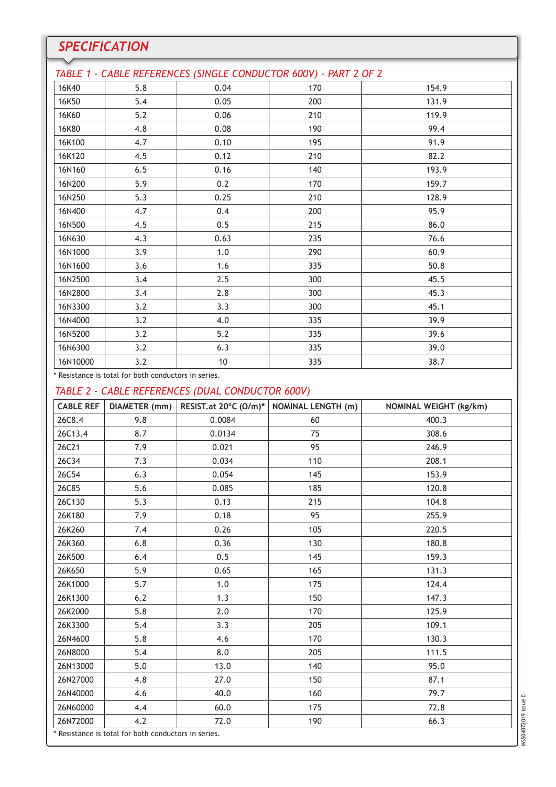| <b>SPECIFICATION</b> |     |                                                                  |     |       |  |
|----------------------|-----|------------------------------------------------------------------|-----|-------|--|
|                      |     | TABLE 1 - CABLE REFERENCES (SINGLE CONDUCTOR 600V) - PART 2 OF 2 |     |       |  |
| 16K40                | 5.8 | 0.04                                                             | 170 | 154.9 |  |
| 16K50                | 5.4 | 0.05                                                             | 200 | 131.9 |  |
| 16K60                | 5.2 | 0.06                                                             | 210 | 119.9 |  |
| 16K80                | 4.8 | 0.08                                                             | 190 | 99.4  |  |
| 16K100               | 4.7 | 0.10                                                             | 195 | 91.9  |  |
| 16K120               | 4.5 | 0.12                                                             | 210 | 82.2  |  |
| 16N160               | 6.5 | 0.16                                                             | 140 | 193.9 |  |
| 16N200               | 5.9 | 0.2                                                              | 170 | 159.7 |  |
| 16N250               | 5.3 | 0.25                                                             | 210 | 128.9 |  |
| 16N400               | 4.7 | 0.4                                                              | 200 | 95.9  |  |
| 16N500               | 4.5 | 0.5                                                              | 215 | 86.0  |  |
| 16N630               | 4.3 | 0.63                                                             | 235 | 76.6  |  |
| 16N1000              | 3.9 | 1.0                                                              | 290 | 60.9  |  |
| 16N1600              | 3.6 | 1.6                                                              | 335 | 50.8  |  |
| 16N2500              | 3.4 | 2.5                                                              | 300 | 45.5  |  |
| 16N2800              | 3.4 | 2.8                                                              | 300 | 45.3  |  |
| 16N3300              | 3.2 | 3.3                                                              | 300 | 45.1  |  |
| 16N4000              | 3.2 | 4.0                                                              | 335 | 39.9  |  |
| 16N5200              | 3.2 | 5.2                                                              | 335 | 39.6  |  |
| 16N6300              | 3.2 | 6.3                                                              | 335 | 39.0  |  |
| 16N10000             | 3.2 | 10                                                               | 335 | 38.7  |  |

\* Resistance is total for both conductors in series.

## *TABLE 2 - CABLE REFERENCES (DUAL CONDUCTOR 600V)*

| DIAMETER (mm) | RESIST.at 20°C ( $\Omega/m$ )* | <b>NOMINAL LENGTH (m)</b>                            | <b>NOMINAL WEIGHT (kg/km)</b> |
|---------------|--------------------------------|------------------------------------------------------|-------------------------------|
| 9.8           | 0.0084                         | 60                                                   | 400.3                         |
| 8.7           | 0.0134                         | 75                                                   | 308.6                         |
| 7.9           | 0.021                          | 95                                                   | 246.9                         |
| 7.3           | 0.034                          | 110                                                  | 208.1                         |
| 6.3           | 0.054                          | 145                                                  | 153.9                         |
| 5.6           | 0.085                          | 185                                                  | 120.8                         |
| 5.3           | 0.13                           | 215                                                  | 104.8                         |
| 7.9           | 0.18                           | 95                                                   | 255.9                         |
| 7.4           | 0.26                           | 105                                                  | 220.5                         |
| 6.8           | 0.36                           | 130                                                  | 180.8                         |
| 6.4           | 0.5                            | 145                                                  | 159.3                         |
| 5.9           | 0.65                           | 165                                                  | 131.3                         |
| 5.7           | 1.0                            | 175                                                  | 124.4                         |
| 6.2           | 1.3                            | 150                                                  | 147.3                         |
| 5.8           | 2.0                            | 170                                                  | 125.9                         |
| 5.4           | 3.3                            | 205                                                  | 109.1                         |
| 5.8           | 4.6                            | 170                                                  | 130.3                         |
| 5.4           | 8.0                            | 205                                                  | 111.5                         |
| 5.0           | 13.0                           | 140                                                  | 95.0                          |
| 4.8           | 27.0                           | 150                                                  | 87.1                          |
| 4.6           | 40.0                           | 160                                                  | 79.7                          |
| 4.4           | 60.0                           | 175                                                  | 72.8                          |
| 4.2           | 72.0                           | 190                                                  | 66.3                          |
|               |                                | * Resistance is total for both conductors in series. |                               |

MSS04072019 issue 0 MSS04072019 issue 0